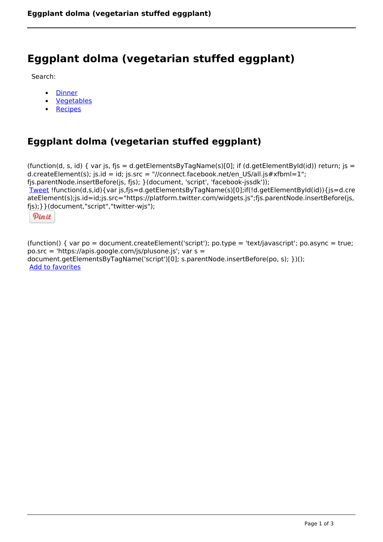# **Eggplant dolma (vegetarian stuffed eggplant)**

Search:

- **[Dinner](https://www.naturalhealthmag.com.au/nourish/dinner-ideas)**  $\bullet$
- [Vegetables](https://www.naturalhealthmag.com.au/nourish/veg)  $\bullet$
- **[Recipes](https://www.naturalhealthmag.com.au/nourish/recipes)**  $\bullet$

## **Eggplant dolma (vegetarian stuffed eggplant)**

```
(function(d, s, id) { var js, fjs = d.getElementsByTagName(s)[0]; if (d.getElementById(id)) return; js =
d.createElement(s); js.id = id; js.src = "//connect.facebook.net/en_US/all.js#xfbml=1";
fjs.parentNode.insertBefore(js, fjs); }(document, 'script', 'facebook-jssdk')); 
Tweet !function(d,s,id){var js,fjs=d.getElementsByTagName(s)[0];if(!d.getElementById(id)){js=d.cre
ateElement(s);js.id=id;js.src="https://platform.twitter.com/widgets.js";fjs.parentNode.insertBefore(js,
fjs);}}(document,"script","twitter-wjs"); 
 Pin it
```
(function() { var po = document.createElement('script'); po.type = 'text/javascript'; po.async = true; po.src = 'https://apis.google.com/js/plusone.js'; var s = document.getElementsByTagName('script')[0]; s.parentNode.insertBefore(po, s); })(); Add to favorites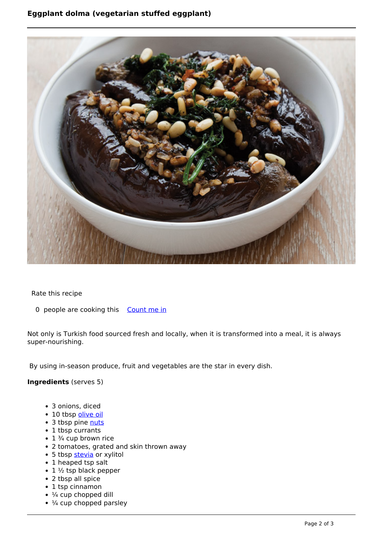### **Eggplant dolma (vegetarian stuffed eggplant)**



Rate this recipe

0 people are cooking this [Count me in](https://www.naturalhealthmag.com.au/flag/flag/favorites/1502?destination=printpdf%2F1502&token=77813177dce8a475e686ca2ebb3d211c)

Not only is Turkish food sourced fresh and locally, when it is transformed into a meal, it is always super-nourishing.

By using in-season produce, fruit and vegetables are the star in every dish.

#### **Ingredients** (serves 5)

- 3 onions, diced
- 10 tbsp [olive oil](http://www.naturalhealthmag.com.au/nourish/healthy-cooking-oils)
- 3 tbsp pine [nuts](http://www.naturalhealthmag.com.au/nourish/magnesium-boosts-metabolism)
- 1 tbsp currants
- $\cdot$  1  $\frac{3}{4}$  cup brown rice
- 2 tomatoes, grated and skin thrown away
- 5 tbsp [stevia](http://www.naturalhealthmag.com.au/nourish/raw-chocolate-brownies) or xylitol
- 1 heaped tsp salt
- $\cdot$  1  $\frac{1}{2}$  tsp black pepper
- 2 tbsp all spice
- 1 tsp cinnamon
- $\cdot$   $\frac{1}{4}$  cup chopped dill
- $\bullet$   $\frac{1}{4}$  cup chopped parsley